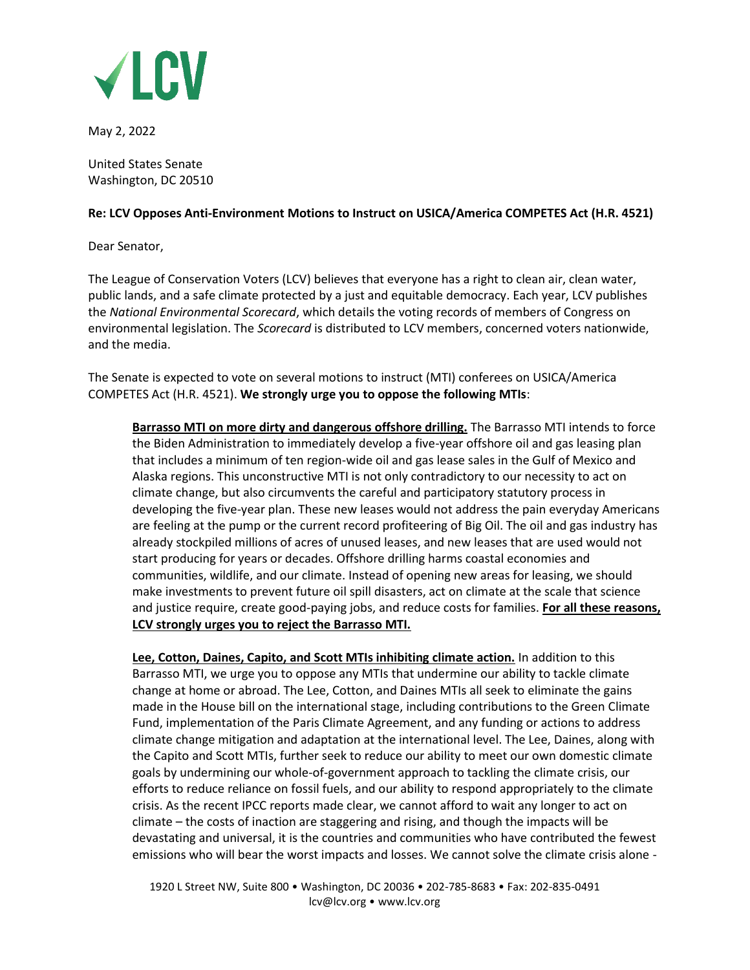

May 2, 2022

United States Senate Washington, DC 20510

## **Re: LCV Opposes Anti-Environment Motions to Instruct on USICA/America COMPETES Act (H.R. 4521)**

Dear Senator,

The League of Conservation Voters (LCV) believes that everyone has a right to clean air, clean water, public lands, and a safe climate protected by a just and equitable democracy. Each year, LCV publishes the *National Environmental Scorecard*, which details the voting records of members of Congress on environmental legislation. The *Scorecard* is distributed to LCV members, concerned voters nationwide, and the media.

The Senate is expected to vote on several motions to instruct (MTI) conferees on USICA/America COMPETES Act (H.R. 4521). **We strongly urge you to oppose the following MTIs**:

**Barrasso MTI on more dirty and dangerous offshore drilling.** The Barrasso MTI intends to force the Biden Administration to immediately develop a five-year offshore oil and gas leasing plan that includes a minimum of ten region-wide oil and gas lease sales in the Gulf of Mexico and Alaska regions. This unconstructive MTI is not only contradictory to our necessity to act on climate change, but also circumvents the careful and participatory statutory process in developing the five-year plan. These new leases would not address the pain everyday Americans are feeling at the pump or the current record profiteering of Big Oil. The oil and gas industry has already stockpiled millions of acres of unused leases, and new leases that are used would not start producing for years or decades. Offshore drilling harms coastal economies and communities, wildlife, and our climate. Instead of opening new areas for leasing, we should make investments to prevent future oil spill disasters, act on climate at the scale that science and justice require, create good-paying jobs, and reduce costs for families. **For all these reasons, LCV strongly urges you to reject the Barrasso MTI.** 

**Lee, Cotton, Daines, Capito, and Scott MTIs inhibiting climate action.** In addition to this Barrasso MTI, we urge you to oppose any MTIs that undermine our ability to tackle climate change at home or abroad. The Lee, Cotton, and Daines MTIs all seek to eliminate the gains made in the House bill on the international stage, including contributions to the Green Climate Fund, implementation of the Paris Climate Agreement, and any funding or actions to address climate change mitigation and adaptation at the international level. The Lee, Daines, along with the Capito and Scott MTIs, further seek to reduce our ability to meet our own domestic climate goals by undermining our whole-of-government approach to tackling the climate crisis, our efforts to reduce reliance on fossil fuels, and our ability to respond appropriately to the climate crisis. As the recent IPCC reports made clear, we cannot afford to wait any longer to act on climate – the costs of inaction are staggering and rising, and though the impacts will be devastating and universal, it is the countries and communities who have contributed the fewest emissions who will bear the worst impacts and losses. We cannot solve the climate crisis alone -